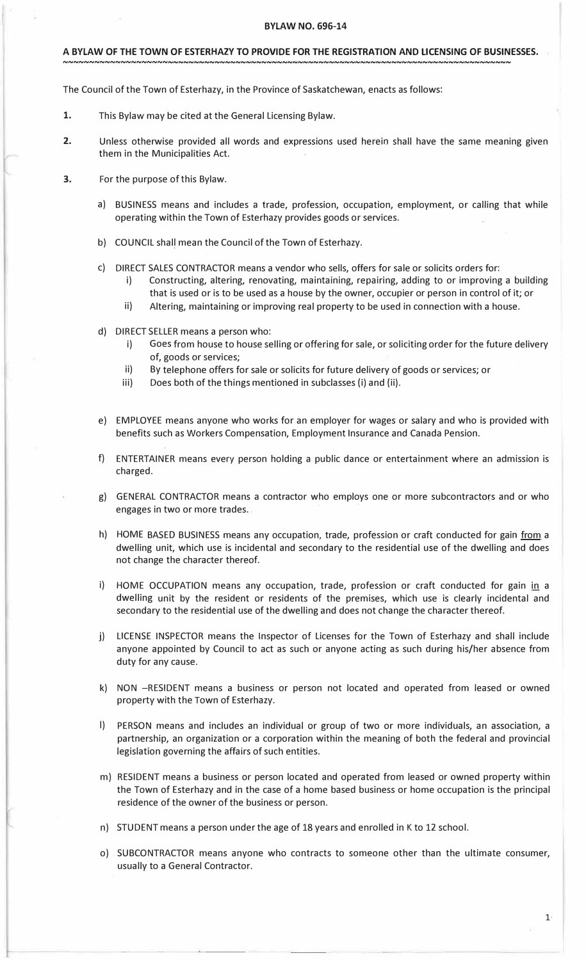### **A BYLAW OF THE TOWN OF ESTERHAZY TO PROVIDE FOR THE REGISTRATION AND LICENSING OF BUSINESSES.**

**' --------------------NNNNNNNNNNNNNNNNNNNNNNNNNNNNNNNNNNNNNNNNNNNNNNNNNNNNNNNNNNNNNNNNNN** 

The Council of the Town of Esterhazy, in the Province of Saskatchewan, enacts as follows:

- **1.** This Bylaw may be cited at the General Licensing Bylaw.
- **2.** Unless otherwise provided all words and expressions used herein shall have the same meaning given them in the Municipalities Act.
- **3.** For the purpose of this Bylaw.
	- a) BUSINESS means and includes a trade, profession, occupation, employment, or calling that while operating within the Town of Esterhazy provides goods or services.
	- b) COUNCIL shall mean the Council of the Town of Esterhazy.
	- c) DIRECT SALES CONTRACTOR means a vendor who sells, offers for sale or solicits orders for:
		- i) Constructing, altering, renovating, maintaining, repairing, adding to or improving a building that is used or is to be used as a house by the owner, occupier or person in control of it; or
		- ii) Altering, maintaining or improving real property to be used in connection with a house.
	- d) DIRECT SELLER means a person who:
		- i) Goes from house to house selling or offering for sale, or soliciting order for the future delivery of, goods or services;
		- ii) By telephone offers for sale or solicits for future delivery of goods or services; or
		- iii) Does both of the things mentioned in subclasses (i) and (ii).
	- e) EMPLOYEE means anyone who works for an employer for wages or salary and who is provided with benefits such as Workers Compensation, Employment Insurance and Canada Pension.
	- f) ENTERTAINER means every person holding a public dance or entertainment where an admission is charged.
	- g) GENERAL CONTRACTOR means a contractor who employs one or more subcontractors and or who engages in two or more trades.
	- h) HOME BASED BUSINESS means any occupation, trade, profession or craft conducted for gain from a dwelling unit, which use is incidental and secondary to the residential use of the dwelling and does not change the character thereof.
	- HOME OCCUPATION means any occupation, trade, profession or craft conducted for gain in a dwelling unit by the resident or residents of the premises, which use is clearly incidental and secondary to the residential use of the dwelling and does not change the character thereof.
	- j) ) LICENSE INSPECTOR means the Inspector of Licenses for the Town of Esterhazy and shall include anyone appointed by Council to act as such or anyone acting as such during his/her absence from duty for any cause.
	- k) NON -RESIDENT means a business or person not located and operated from leased or owned property with the Town of Esterhazy.
	- PERSON means and includes an individual or group of two or more individuals, an association, a partnership, an organization or a corporation within the meaning of both the federal and provincial legislation governing the affairs of such entities.
	- m) RESIDENT means a business or person located and operated from leased or owned property within the Town of Esterhazy and in the case of a home based business or home occupation is the principal residence of the owner of the business or person.
	- n) STUDENT means a person under the age of 18 years and enrolled in K to 12 school.
	- o) SUBCONTRACTOR means anyone who contracts to someone other than the ultimate consumer, usually to a General Contractor.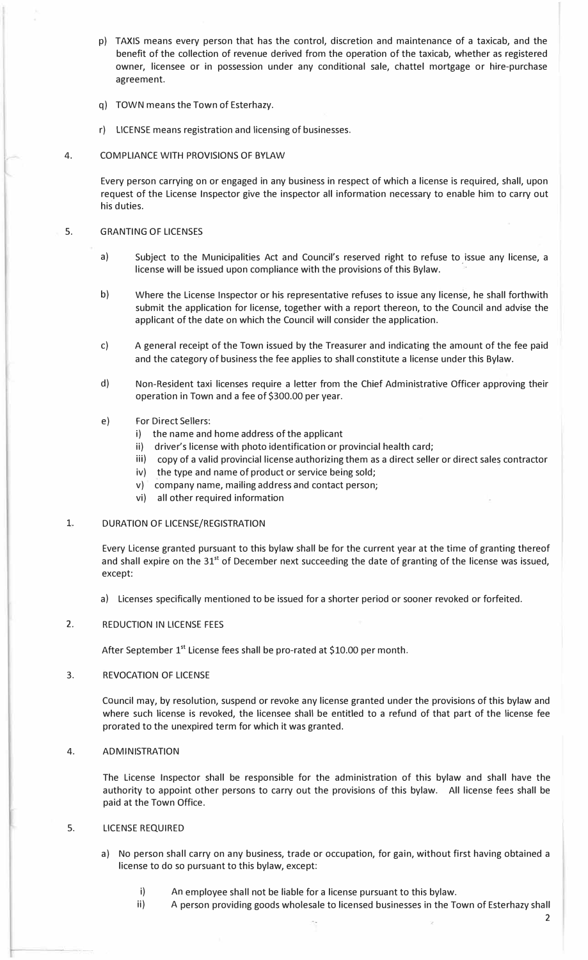- p) TAXIS means every person that has the control, discretion and maintenance of a taxicab, and the benefit of the collection of revenue derived from the operation of the taxicab, whether as registered owner, licensee or in possession under any conditional sale, chattel mortgage or hire-purchase agreement.
- q) TOWN means the Town of Esterhazy.
- r) LICENSE means registration and licensing of businesses.

## 4. COMPLIANCE WITH PROVISIONS OF BYLAW

Every person carrying on or engaged in any business in respect of which a license is required, shall, upon request of the License Inspector give the inspector all information necessary to enable him to carry out his duties.

## 5. GRANTING OF LICENSES

- a) Subject to the Municipalities Act and Council's reserved right to refuse to issue any license, a license will be issued upon compliance with the provisions of this Bylaw.
- b) Where the License Inspector or his representative refuses to issue any license, he shall forthwith submit the application for license, together with a report thereon, to the Council and advise the applicant of the date on which the Council will consider the application.
- c) A general receipt of the Town issued by the Treasurer and indicating the amount of the fee paid and the category of business the fee applies to shall constitute a license under this Bylaw.
- d) Non-Resident taxi licenses require a letter from the Chief Administrative Officer approving their operation in Town and a fee of \$300.00 per year.

## e) For Direct Sellers:

- i) the name and home address of the applicant
- ii) driver's license with photo identification or provincial health card;
- iii) copy of a valid provincial license authorizing them as a direct seller or direct sales contractor
- iv) the type and name of product or service being sold;
- v) company name, mailing address and contact person;
- vi) all other required information

## 1. DURATION OF LICENSE/REGISTRATION

Every License granted pursuant to this bylaw shall be for the current year at the time of granting thereof and shall expire on the  $31<sup>st</sup>$  of December next succeeding the date of granting of the license was issued, except:

a) Licenses specifically mentioned to be issued for a shorter period or sooner revoked or forfeited.

# 2. REDUCTION IN LICENSE FEES

After September 1<sup>st</sup> License fees shall be pro-rated at \$10.00 per month.

#### 3. REVOCATION OF LICENSE

Council may, by resolution, suspend or revoke any license granted under the provisions of this bylaw and where such license is revoked, the licensee shall be entitled to a refund of that part of the license fee prorated to the unexpired term for which it was granted.

# 4. ADMINISTRATION

The License Inspector shall be responsible for the administration of this bylaw and shall have the authority to appoint other persons to carry out the provisions of this bylaw. All license fees shall be paid at the Town Office.

# 5. LICENSE REQUIRED

- a) No person shall carry on any business, trade or occupation, for gain, without first having obtained a license to do so pursuant to this bylaw, except:
	- i) An employee shall not be liable for a license pursuant to this bylaw.
	- ii) A person providing goods wholesale to licensed businesses in the Town of Esterhazy shall

2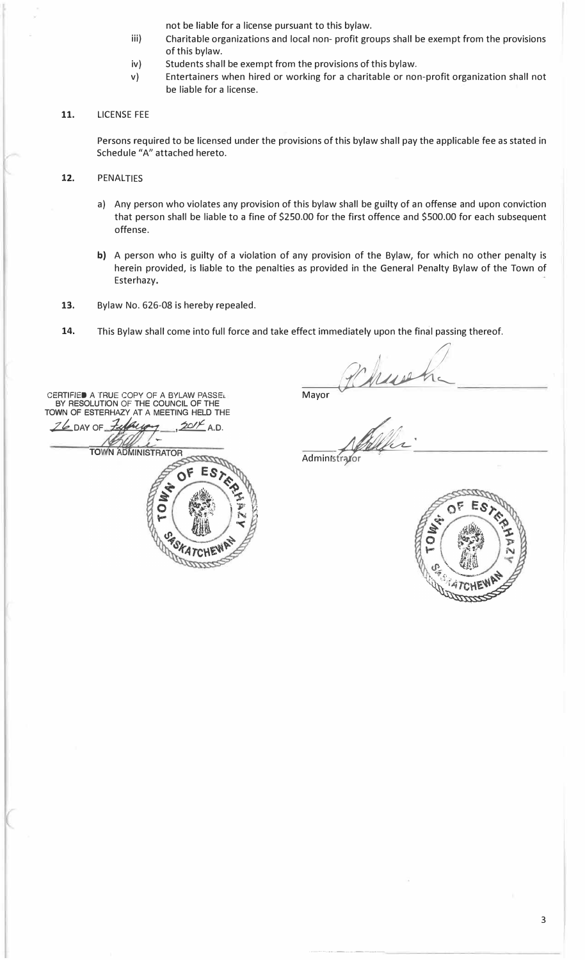not be liable for a license pursuant to this bylaw.

- iii) Charitable organizations and local non- profit groups shall be exempt from the provisions of this bylaw.
- iv) Students shall be exempt from the provisions of this bylaw.
- v) Entertainers when hired or working for a charitable or non-profit organization shall not be liable for a license.
- **11.** LICENSE FEE

Persons required to be licensed under the provisions of this bylaw shall pay the applicable fee as stated in Schedule "A" attached hereto.

- 12. PENALTIES
	- a) Any person who violates any provision of this bylaw shall be guilty of an offense and upon conviction that person shall be liable to a fine of \$250.00 for the first offence and \$500.00 for each subsequent offense.
	- b) A person who is guilty of a violation of any provision of the Bylaw, for which no other penalty is herein provided, is liable to the penalties as provided in the General Penalty Bylaw of the Town of Esterhazy.
- **13.** Bylaw No. 626-08 is hereby repealed.
- **14.** This Bylaw shall come into full force and take effect immediately upon the final passing thereof.

CERTIFIED A TRUE COPY OF A BYLAW PASSEL BY RESOLUTION OF THE COUNCIL OF THE TOWN OF ESTERHAZY AT A MEETING HELD THE  $26$  DAY OF  $\frac{7444499}{ }$ ,  $2014$  A.D. **TOWN ADMINISTRATOR** OF F **WORATCHI** SKATC

Mayor Phillips Adden:

-----·-···--·-----------------